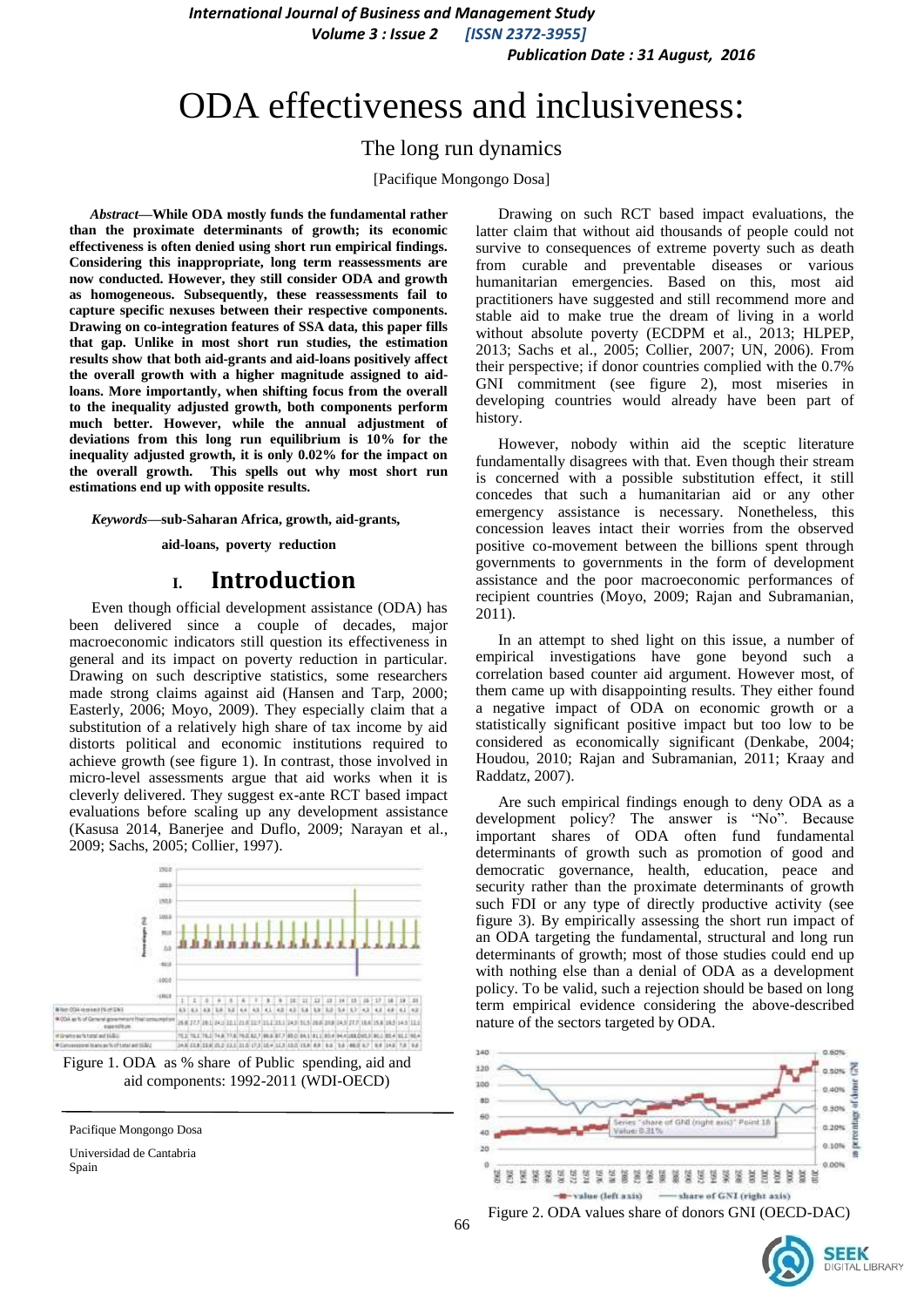*International Journal of Business and Management Study Volume 3 : Issue 2 [ISSN 2372-3955]*

 *Publication Date : 31 August, 2016*

# ODA effectiveness and inclusiveness:

### The long run dynamics

[Pacifique Mongongo Dosa]

*Abstract***—While ODA mostly funds the fundamental rather than the proximate determinants of growth; its economic effectiveness is often denied using short run empirical findings. Considering this inappropriate, long term reassessments are now conducted. However, they still consider ODA and growth as homogeneous. Subsequently, these reassessments fail to capture specific nexuses between their respective components. Drawing on co-integration features of SSA data, this paper fills that gap. Unlike in most short run studies, the estimation results show that both aid-grants and aid-loans positively affect the overall growth with a higher magnitude assigned to aidloans. More importantly, when shifting focus from the overall to the inequality adjusted growth, both components perform much better. However, while the annual adjustment of deviations from this long run equilibrium is 10% for the inequality adjusted growth, it is only 0.02% for the impact on the overall growth. This spells out why most short run estimations end up with opposite results.**

*Keywords—***sub-Saharan Africa, growth, aid-grants,** 

 **aid-loans, poverty reduction**

# **I. Introduction**

Even though official development assistance (ODA) has been delivered since a couple of decades, major macroeconomic indicators still question its effectiveness in general and its impact on poverty reduction in particular. Drawing on such descriptive statistics, some researchers made strong claims against aid (Hansen and Tarp, 2000; Easterly, 2006; Moyo, 2009). They especially claim that a substitution of a relatively high share of tax income by aid distorts political and economic institutions required to achieve growth (see figure 1). In contrast, those involved in micro-level assessments argue that aid works when it is cleverly delivered. They suggest ex-ante RCT based impact evaluations before scaling up any development assistance (Kasusa 2014, Banerjee and Duflo, 2009; Narayan et al., 2009; Sachs, 2005; Collier, 1997).



Figure 1. ODA as % share of Public spending, aid and aid components: 1992-2011 (WDI-OECD)

Universidad de Cantabria Spain

Drawing on such RCT based impact evaluations, the latter claim that without aid thousands of people could not survive to consequences of extreme poverty such as death from curable and preventable diseases or various humanitarian emergencies. Based on this, most aid practitioners have suggested and still recommend more and stable aid to make true the dream of living in a world without absolute poverty (ECDPM et al., 2013; HLPEP, 2013; Sachs et al., 2005; Collier, 2007; UN, 2006). From their perspective; if donor countries complied with the 0.7% GNI commitment (see figure 2), most miseries in developing countries would already have been part of history.

However, nobody within aid the sceptic literature fundamentally disagrees with that. Even though their stream is concerned with a possible substitution effect, it still concedes that such a humanitarian aid or any other emergency assistance is necessary. Nonetheless, this concession leaves intact their worries from the observed positive co-movement between the billions spent through governments to governments in the form of development assistance and the poor macroeconomic performances of recipient countries (Moyo, 2009; Rajan and Subramanian, 2011).

In an attempt to shed light on this issue, a number of empirical investigations have gone beyond such a correlation based counter aid argument. However most, of them came up with disappointing results. They either found a negative impact of ODA on economic growth or a statistically significant positive impact but too low to be considered as economically significant (Denkabe, 2004; Houdou, 2010; Rajan and Subramanian, 2011; Kraay and Raddatz, 2007).

Are such empirical findings enough to deny ODA as a development policy? The answer is "No". Because important shares of ODA often fund fundamental determinants of growth such as promotion of good and democratic governance, health, education, peace and security rather than the proximate determinants of growth such FDI or any type of directly productive activity (see figure 3). By empirically assessing the short run impact of an ODA targeting the fundamental, structural and long run determinants of growth; most of those studies could end up with nothing else than a denial of ODA as a development policy. To be valid, such a rejection should be based on long term empirical evidence considering the above-described nature of the sectors targeted by ODA.





Pacifique Mongongo Dosa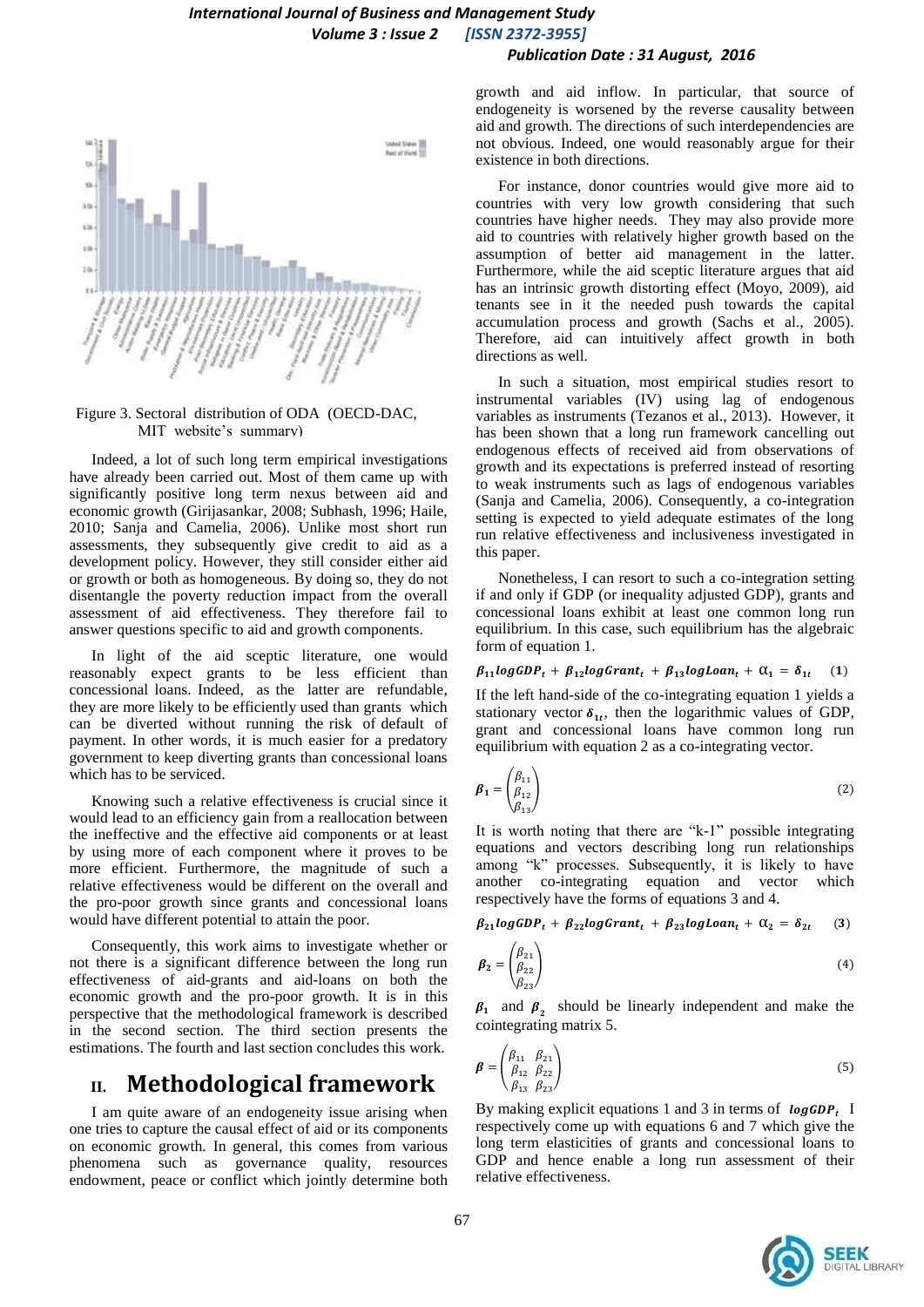

#### Figure 3. Sectoral distribution of ODA (OECD-DAC, MIT website's summary)

Indeed, a lot of such long term empirical investigations have already been carried out. Most of them came up with significantly positive long term nexus between aid and economic growth (Girijasankar, 2008; Subhash, 1996; Haile, 2010; Sanja and Camelia, 2006). Unlike most short run assessments, they subsequently give credit to aid as a development policy. However, they still consider either aid or growth or both as homogeneous. By doing so, they do not disentangle the poverty reduction impact from the overall assessment of aid effectiveness. They therefore fail to answer questions specific to aid and growth components.

In light of the aid sceptic literature, one would reasonably expect grants to be less efficient than concessional loans. Indeed, as the latter are refundable, they are more likely to be efficiently used than grants which can be diverted without running the risk of default of payment. In other words, it is much easier for a predatory government to keep diverting grants than concessional loans which has to be serviced.

Knowing such a relative effectiveness is crucial since it would lead to an efficiency gain from a reallocation between the ineffective and the effective aid components or at least by using more of each component where it proves to be more efficient. Furthermore, the magnitude of such a relative effectiveness would be different on the overall and the pro-poor growth since grants and concessional loans would have different potential to attain the poor.

Consequently, this work aims to investigate whether or not there is a significant difference between the long run effectiveness of aid-grants and aid-loans on both the economic growth and the pro-poor growth. It is in this perspective that the methodological framework is described in the second section. The third section presents the estimations. The fourth and last section concludes this work.

## **II. Methodological framework**

I am quite aware of an endogeneity issue arising when one tries to capture the causal effect of aid or its components on economic growth. In general, this comes from various phenomena such as governance quality, resources endowment, peace or conflict which jointly determine both growth and aid inflow. In particular, that source of endogeneity is worsened by the reverse causality between aid and growth. The directions of such interdependencies are not obvious. Indeed, one would reasonably argue for their existence in both directions.

For instance, donor countries would give more aid to countries with very low growth considering that such countries have higher needs. They may also provide more aid to countries with relatively higher growth based on the assumption of better aid management in the latter. Furthermore, while the aid sceptic literature argues that aid has an intrinsic growth distorting effect (Moyo, 2009), aid tenants see in it the needed push towards the capital accumulation process and growth (Sachs et al., 2005). Therefore, aid can intuitively affect growth in both directions as well.

In such a situation, most empirical studies resort to instrumental variables (IV) using lag of endogenous variables as instruments (Tezanos et al., 2013). However, it has been shown that a long run framework cancelling out endogenous effects of received aid from observations of growth and its expectations is preferred instead of resorting to weak instruments such as lags of endogenous variables (Sanja and Camelia, 2006). Consequently, a co-integration setting is expected to yield adequate estimates of the long run relative effectiveness and inclusiveness investigated in this paper.

Nonetheless, I can resort to such a co-integration setting if and only if GDP (or inequality adjusted GDP), grants and concessional loans exhibit at least one common long run equilibrium. In this case, such equilibrium has the algebraic form of equation 1.

#### $\beta_{11}$ logGDP<sub>t</sub> +  $\beta_{12}$ logGrant<sub>t</sub> +  $\beta_{13}$ logLoan<sub>t</sub> +  $\alpha_1 = \delta_{1t}$  $(1)$

If the left hand-side of the co-integrating equation 1 yields a stationary vector  $\delta_{1t}$ , then the logarithmic values of GDP, grant and concessional loans have common long run equilibrium with equation 2 as a co-integrating vector.

$$
\boldsymbol{\beta}_1 = \begin{pmatrix} \beta_{11} \\ \beta_{12} \\ \beta_{13} \end{pmatrix} \tag{2}
$$

It is worth noting that there are "k-1" possible integrating equations and vectors describing long run relationships among "k" processes. Subsequently, it is likely to have another co-integrating equation and vector which respectively have the forms of equations 3 and 4.

 $\beta_{21}$ logGDP<sub>t</sub> +  $\beta_{22}$ logGrant<sub>t</sub> +  $\beta_{23}$ logLoan<sub>t</sub> +  $\alpha_2 = \delta_{2t}$  $(3)$ 

$$
\boldsymbol{\beta}_2 = \begin{pmatrix} \beta_{21} \\ \beta_{22} \\ \beta_{23} \end{pmatrix} \tag{4}
$$

 $\beta_1$  and  $\beta_2$  should be linearly independent and make the cointegrating matrix 5.

$$
\boldsymbol{\beta} = \begin{pmatrix} \beta_{11} & \beta_{21} \\ \beta_{12} & \beta_{22} \\ \beta_{13} & \beta_{23} \end{pmatrix} \tag{5}
$$

By making explicit equations 1 and 3 in terms of  $\log GDP_t$  I respectively come up with equations 6 and 7 which give the long term elasticities of grants and concessional loans to GDP and hence enable a long run assessment of their relative effectiveness.

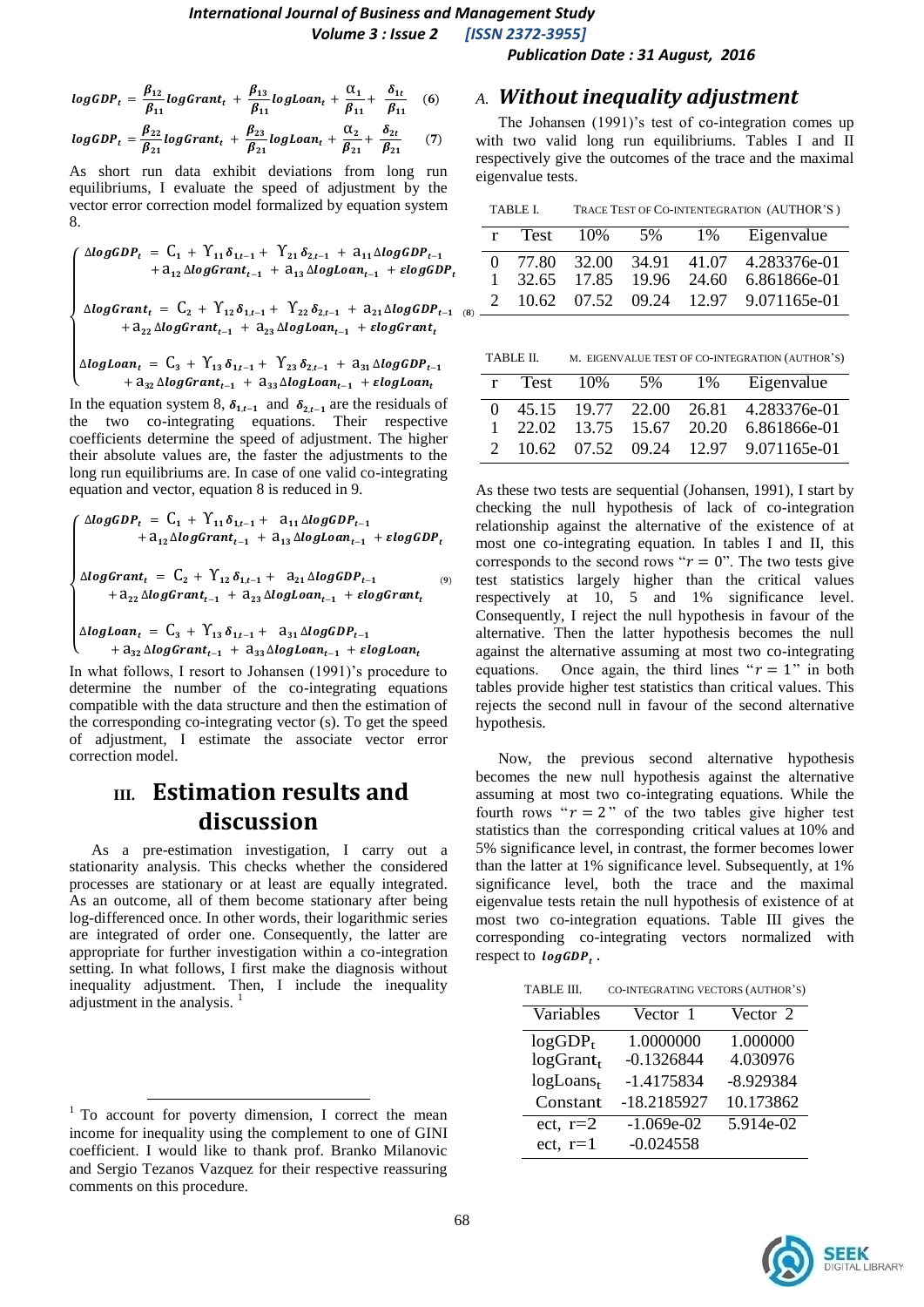# *International Journal of Business and Management Study*

 *Volume 3 : Issue 2 [ISSN 2372-3955]*

$$
logGDP_t = \frac{\beta_{12}}{\beta_{11}} logGrant_t + \frac{\beta_{13}}{\beta_{11}} log Loan_t + \frac{\alpha_1}{\beta_{11}} + \frac{\delta_{1t}}{\beta_{11}} \quad (6)
$$
  

$$
logGDP_t = \frac{\beta_{22}}{\beta_{21}} logGrant_t + \frac{\beta_{23}}{\beta_{21}} log Loan_t + \frac{\alpha_2}{\beta_{21}} + \frac{\delta_{2t}}{\beta_{21}} \quad (7)
$$

As short run data exhibit deviations from long run equilibriums, I evaluate the speed of adjustment by the vector error correction model formalized by equation system 8.

$$
\begin{cases} \Delta logGDP_t = C_1 + Y_{11} \delta_{1,t-1} + Y_{21} \delta_{2,t-1} + a_{11} \Delta logGDP_{t-1} \\ + a_{12} \Delta logGrant_{t-1} + a_{13} \Delta log Loan_{t-1} + elongGDP_t \end{cases}
$$

 $\mathbf{I}$  $\mathbf{I}$ Δ  $^{+}$ 

$$
\begin{cases} \Delta logLoan_t = C_3 + Y_{13} \delta_{1,t-1} + Y_{23} \delta_{2,t-1} + a_{31} \Delta logGDP_{t-1} \\ + a_{32} \Delta logGrant_{t-1} + a_{33} \Delta logLoan_{t-1} + ElogLoan_t \end{cases}
$$

In the equation system 8,  $\delta_{1,t-1}$  and  $\delta_{2,t-1}$  are the residuals of the two co-integrating equations. Their respective coefficients determine the speed of adjustment. The higher their absolute values are, the faster the adjustments to the long run equilibriums are. In case of one valid co-integrating equation and vector, equation 8 is reduced in 9.

$$
\left\{\begin{array}{ccl}\Delta logGDP_{t}&=&C_{1}+\Upsilon_{11}\delta_{1,t-1}+&a_{11}\Delta logGDP_{t-1}\\&+a_{12}\Delta logGrant_{t-1}+a_{13}\Delta log Loan_{t-1}+elogGDP_{t}\end{array}\right.
$$

$$
\begin{cases} \Delta logGrant_t = C_2 + Y_{12} \delta_{1,t-1} + a_{21} \Delta logGDP_{t-1} \\ + a_{22} \Delta logGrant_{t-1} + a_{23} \Delta log Loan_{t-1} + elegGrant_t \end{cases} (9)
$$

 $\overline{\mathcal{L}}$  $\Delta$  $\mathbf{I}$ +  $a_{32} \Delta logGrant_{t-1} + a_{33} \Delta log Loan_{t-1} + elog Loan_t$ 

In what follows, I resort to Johansen (1991)'s procedure to determine the number of the co-integrating equations compatible with the data structure and then the estimation of the corresponding co-integrating vector (s). To get the speed of adjustment, I estimate the associate vector error correction model.

# **III. Estimation results and discussion**

As a pre-estimation investigation, I carry out a stationarity analysis. This checks whether the considered processes are stationary or at least are equally integrated. As an outcome, all of them become stationary after being log-differenced once. In other words, their logarithmic series are integrated of order one. Consequently, the latter are appropriate for further investigation within a co-integration setting. In what follows, I first make the diagnosis without inequality adjustment. Then, I include the inequality adjustment in the analysis. <sup>1</sup>

 $\overline{\phantom{a}}$ 

#### *A. Without inequality adjustment*

 *Publication Date : 31 August, 2016*

The Johansen (1991)'s test of co-integration comes up with two valid long run equilibriums. Tables I and II respectively give the outcomes of the trace and the maximal eigenvalue tests.

| TRACE TEST OF CO-INTENTEGRATION (AUTHOR'S)<br>TABLE I. |  |
|--------------------------------------------------------|--|
|--------------------------------------------------------|--|

| r        | Test  | $10\%$ | 5% | 1% | Eigenvalue                             |
|----------|-------|--------|----|----|----------------------------------------|
| $\Omega$ | 77.80 |        |    |    | 32.00 34.91 41.07 4.283376e-01         |
|          |       |        |    |    | 1 32.65 17.85 19.96 24.60 6.861866e-01 |
|          |       |        |    |    | 10.62 07.52 09.24 12.97 9.071165e-01   |

| TABLE II. | M. EIGENVALUE TEST OF CO-INTEGRATION (AUTHOR'S) |  |
|-----------|-------------------------------------------------|--|
|           |                                                 |  |

| r             | Test  | 10% | 5% | 1% | Eigenvalue                           |
|---------------|-------|-----|----|----|--------------------------------------|
| $\Omega$      | 45.15 |     |    |    | 19.77 22.00 26.81 4.283376e-01       |
|               | 22.02 |     |    |    | 13.75 15.67 20.20 6.861866e-01       |
| $\mathcal{L}$ |       |     |    |    | 10.62 07.52 09.24 12.97 9.071165e-01 |

As these two tests are sequential (Johansen, 1991), I start by checking the null hypothesis of lack of co-integration relationship against the alternative of the existence of at most one co-integrating equation. In tables I and II, this corresponds to the second rows " $r = 0$ ". The two tests give test statistics largely higher than the critical values respectively at 10, 5 and 1% significance level. Consequently, I reject the null hypothesis in favour of the alternative. Then the latter hypothesis becomes the null against the alternative assuming at most two co-integrating equations. Once again, the third lines " $r = 1$ " in both tables provide higher test statistics than critical values. This rejects the second null in favour of the second alternative hypothesis.

Now, the previous second alternative hypothesis becomes the new null hypothesis against the alternative assuming at most two co-integrating equations. While the fourth rows " $r = 2$ " of the two tables give higher test statistics than the corresponding critical values at 10% and 5% significance level, in contrast, the former becomes lower than the latter at 1% significance level. Subsequently, at 1% significance level, both the trace and the maximal eigenvalue tests retain the null hypothesis of existence of at most two co-integration equations. Table III gives the corresponding co-integrating vectors normalized with respect to  $logGDP_t$ .

TABLE III. CO-INTEGRATING VECTORS (AUTHOR'S)

| Variables    | Vector 1     | Vector 2    |
|--------------|--------------|-------------|
| $logGDP_t$   | 1.0000000    | 1.000000    |
| $logGrant_t$ | $-0.1326844$ | 4.030976    |
| $logLoans_t$ | -1.4175834   | $-8.929384$ |
| Constant     | -18.2185927  | 10.173862   |
| ect, $r=2$   | $-1.069e-02$ | $5.914e-02$ |
| $ect.$ r=1   | $-0.024558$  |             |



<sup>&</sup>lt;sup>1</sup> To account for poverty dimension, I correct the mean income for inequality using the complement to one of GINI coefficient. I would like to thank prof. Branko Milanovic and Sergio Tezanos Vazquez for their respective reassuring comments on this procedure.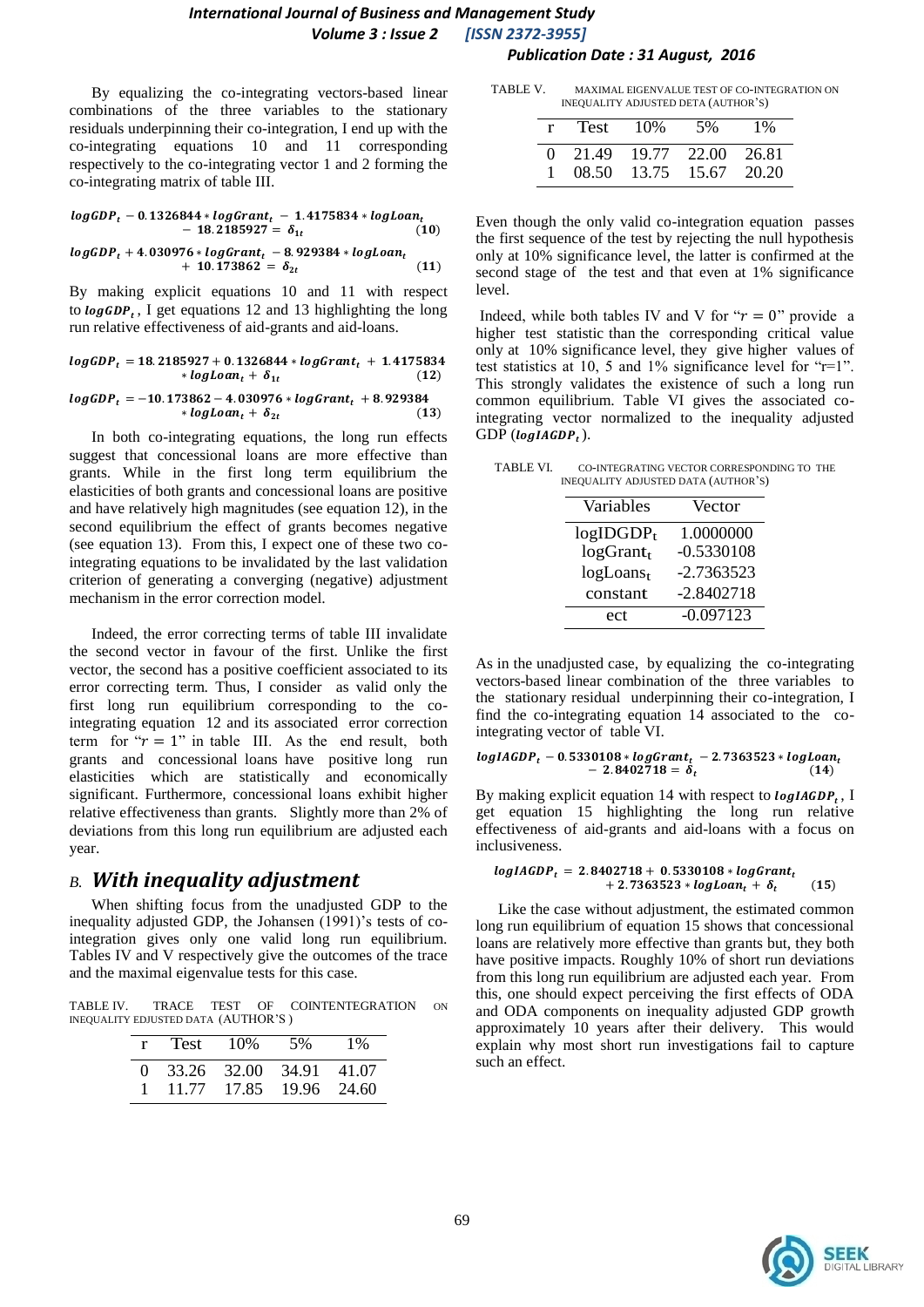#### *International Journal of Business and Management Study Volume 3 : Issue 2 [ISSN 2372-3955] Publication Date : 31 August, 2016*

By equalizing the co-integrating vectors-based linear combinations of the three variables to the stationary residuals underpinning their co-integration, I end up with the co-integrating equations 10 and 11 corresponding respectively to the co-integrating vector 1 and 2 forming the co-integrating matrix of table III.

$$
logGDP_t - 0.1326844 * logGrant_t - 1.4175834 * log Loan_t - 18.2185927 = \delta_{1t}
$$
\n(10)  
\n
$$
logGDP_t + 4.030976 * logGrant_t - 8.929384 * log Loan_t + 10.173862 = \delta_{2t}
$$
\n(11)

By making explicit equations 10 and 11 with respect to  $log GDP_t$ , I get equations 12 and 13 highlighting the long run relative effectiveness of aid-grants and aid-loans.

$$
logGDP_t = 18.2185927 + 0.1326844 * logGrant_t + 1.4175834* logLoan_t + \delta_{1t} \qquad (12)
$$

$$
logGDP_t = -10.173862 - 4.030976 * logGrant_t + 8.929384+ log Loan_t + \delta_{2t}
$$
\n(13)

In both co-integrating equations, the long run effects suggest that concessional loans are more effective than grants. While in the first long term equilibrium the elasticities of both grants and concessional loans are positive and have relatively high magnitudes (see equation 12), in the second equilibrium the effect of grants becomes negative (see equation 13). From this, I expect one of these two cointegrating equations to be invalidated by the last validation criterion of generating a converging (negative) adjustment mechanism in the error correction model.

Indeed, the error correcting terms of table III invalidate the second vector in favour of the first. Unlike the first vector, the second has a positive coefficient associated to its error correcting term. Thus, I consider as valid only the first long run equilibrium corresponding to the cointegrating equation 12 and its associated error correction term for " $r = 1$ " in table III. As the end result, both grants and concessional loans have positive long run elasticities which are statistically and economically significant. Furthermore, concessional loans exhibit higher relative effectiveness than grants. Slightly more than 2% of deviations from this long run equilibrium are adjusted each year.

#### *B. With inequality adjustment*

When shifting focus from the unadjusted GDP to the inequality adjusted GDP, the Johansen (1991)'s tests of cointegration gives only one valid long run equilibrium. Tables IV and V respectively give the outcomes of the trace and the maximal eigenvalue tests for this case.

TABLE IV. TRACE TEST OF COINTENTEGRATION ON INEQUALITY EDJUSTED DATA (AUTHOR'S )

|              | r Test 10%                | $5\%$                   | $1\overline{\%}$ |
|--------------|---------------------------|-------------------------|------------------|
|              | 0 33.26 32.00 34.91 41.07 |                         |                  |
| $\mathbf{1}$ |                           | 11.77 17.85 19.96 24.60 |                  |

| TABLE V. | MAXIMAL EIGENVALUE TEST OF CO-INTEGRATION ON |
|----------|----------------------------------------------|
|          | INEQUALITY ADJUSTED DETA (AUTHOR'S)          |

| r Test $10\%$             | 5%                              | $1\%$ |
|---------------------------|---------------------------------|-------|
| 0 21.49 19.77 22.00 26.81 |                                 |       |
|                           | $08.50$ $13.75$ $15.67$ $20.20$ |       |

Even though the only valid co-integration equation passes the first sequence of the test by rejecting the null hypothesis only at 10% significance level, the latter is confirmed at the second stage of the test and that even at 1% significance level.

Indeed, while both tables IV and V for " $r = 0$ " provide a higher test statistic than the corresponding critical value only at 10% significance level, they give higher values of test statistics at 10, 5 and 1% significance level for "r=1". This strongly validates the existence of such a long run common equilibrium. Table VI gives the associated cointegrating vector normalized to the inequality adjusted  $GDP(logIAGDP<sub>t</sub>)$ .

TABLE VI. CO-INTEGRATING VECTOR CORRESPONDING TO THE

| INEQUALITY ADJUSTED DATA (AUTHOR'S) |              |
|-------------------------------------|--------------|
| Variables                           | Vector       |
| $logIDGDP_t$                        | 1.0000000    |
| $logGrant_t$                        | $-0.5330108$ |
| $logLoans_t$                        | $-2.7363523$ |
| constant                            | $-2.8402718$ |
| ect                                 | $-0.097123$  |

As in the unadjusted case, by equalizing the co-integrating vectors-based linear combination of the three variables to the stationary residual underpinning their co-integration, I find the co-integrating equation 14 associated to the cointegrating vector of table VI.

$$
logIAGDP_t - 0.5330108 * logGrant_t - 2.7363523 * log Loan_t - 2.8402718 = \delta_t
$$
\n(14)

By making explicit equation 14 with respect to  $logIAGDP_t$ , I get equation 15 highlighting the long run relative effectiveness of aid-grants and aid-loans with a focus on inclusiveness.

$$
logIAGDP_t = 2.8402718 + 0.5330108 * logGrant_t + 2.7363523 * log Loan_t + \delta_t
$$
 (15)

Like the case without adjustment, the estimated common long run equilibrium of equation 15 shows that concessional loans are relatively more effective than grants but, they both have positive impacts. Roughly 10% of short run deviations from this long run equilibrium are adjusted each year. From this, one should expect perceiving the first effects of ODA and ODA components on inequality adjusted GDP growth approximately 10 years after their delivery. This would explain why most short run investigations fail to capture such an effect.